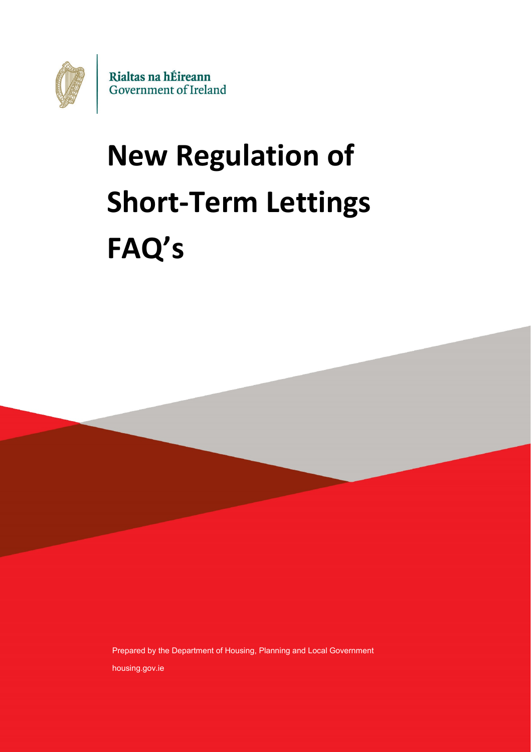

# **New Regulation of Short-Term Lettings FAQ's**

Prepared by the Department of Housing, Planning and Local Government housing.gov.ie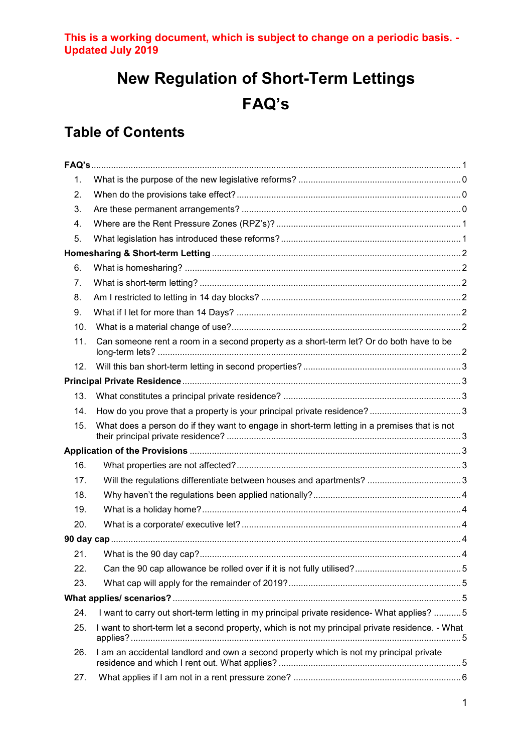# **New Regulation of Short-Term Lettings FAQ's**

# <span id="page-1-0"></span>**Table of Contents**

| 1.  |                                                                                                 |  |
|-----|-------------------------------------------------------------------------------------------------|--|
| 2.  |                                                                                                 |  |
| 3.  |                                                                                                 |  |
| 4.  |                                                                                                 |  |
| 5.  |                                                                                                 |  |
|     |                                                                                                 |  |
| 6.  |                                                                                                 |  |
| 7.  |                                                                                                 |  |
| 8.  |                                                                                                 |  |
| 9.  |                                                                                                 |  |
| 10. |                                                                                                 |  |
| 11. | Can someone rent a room in a second property as a short-term let? Or do both have to be         |  |
| 12. |                                                                                                 |  |
|     |                                                                                                 |  |
| 13. |                                                                                                 |  |
| 14. |                                                                                                 |  |
| 15. | What does a person do if they want to engage in short-term letting in a premises that is not    |  |
|     |                                                                                                 |  |
| 16. |                                                                                                 |  |
| 17. |                                                                                                 |  |
| 18. |                                                                                                 |  |
| 19. |                                                                                                 |  |
| 20. |                                                                                                 |  |
|     |                                                                                                 |  |
| 21. |                                                                                                 |  |
| 22. |                                                                                                 |  |
| 23. |                                                                                                 |  |
|     |                                                                                                 |  |
| 24. | I want to carry out short-term letting in my principal private residence- What applies? 5       |  |
| 25. | I want to short-term let a second property, which is not my principal private residence. - What |  |
| 26. | I am an accidental landlord and own a second property which is not my principal private         |  |
| 27. |                                                                                                 |  |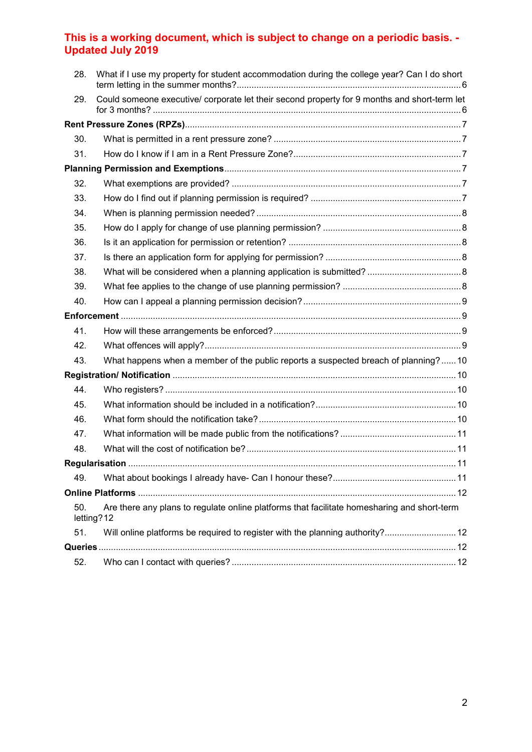<span id="page-2-0"></span>

| 28. | What if I use my property for student accommodation during the college year? Can I do short               |  |  |  |  |
|-----|-----------------------------------------------------------------------------------------------------------|--|--|--|--|
| 29. | Could someone executive/ corporate let their second property for 9 months and short-term let              |  |  |  |  |
|     |                                                                                                           |  |  |  |  |
| 30. |                                                                                                           |  |  |  |  |
| 31. |                                                                                                           |  |  |  |  |
|     |                                                                                                           |  |  |  |  |
| 32. |                                                                                                           |  |  |  |  |
| 33. |                                                                                                           |  |  |  |  |
| 34. |                                                                                                           |  |  |  |  |
| 35. |                                                                                                           |  |  |  |  |
| 36. |                                                                                                           |  |  |  |  |
| 37. |                                                                                                           |  |  |  |  |
| 38. |                                                                                                           |  |  |  |  |
| 39. |                                                                                                           |  |  |  |  |
| 40. |                                                                                                           |  |  |  |  |
|     |                                                                                                           |  |  |  |  |
| 41. |                                                                                                           |  |  |  |  |
| 42. |                                                                                                           |  |  |  |  |
| 43. | What happens when a member of the public reports a suspected breach of planning?10                        |  |  |  |  |
|     |                                                                                                           |  |  |  |  |
| 44. |                                                                                                           |  |  |  |  |
| 45. |                                                                                                           |  |  |  |  |
| 46. |                                                                                                           |  |  |  |  |
| 47. |                                                                                                           |  |  |  |  |
| 48. |                                                                                                           |  |  |  |  |
|     |                                                                                                           |  |  |  |  |
| 49. |                                                                                                           |  |  |  |  |
|     |                                                                                                           |  |  |  |  |
| 50. | Are there any plans to regulate online platforms that facilitate homesharing and short-term<br>letting?12 |  |  |  |  |
| 51. | Will online platforms be required to register with the planning authority? 12                             |  |  |  |  |
|     |                                                                                                           |  |  |  |  |
| 52. |                                                                                                           |  |  |  |  |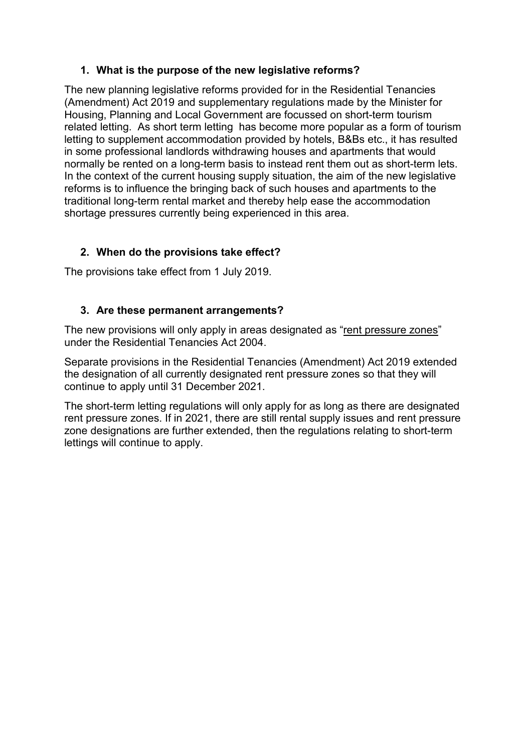#### **1. What is the purpose of the new legislative reforms?**

The new planning legislative reforms provided for in the Residential Tenancies (Amendment) Act 2019 and supplementary regulations made by the Minister for Housing, Planning and Local Government are focussed on short-term tourism related letting. As short term letting has become more popular as a form of tourism letting to supplement accommodation provided by hotels, B&Bs etc., it has resulted in some professional landlords withdrawing houses and apartments that would normally be rented on a long-term basis to instead rent them out as short-term lets. In the context of the current housing supply situation, the aim of the new legislative reforms is to influence the bringing back of such houses and apartments to the traditional long-term rental market and thereby help ease the accommodation shortage pressures currently being experienced in this area.

## <span id="page-3-0"></span>**2. When do the provisions take effect?**

The provisions take effect from 1 July 2019.

## <span id="page-3-1"></span>**3. Are these permanent arrangements?**

The new provisions will only apply in areas designated as "rent pressure zones" under the Residential Tenancies Act 2004.

Separate provisions in the Residential Tenancies (Amendment) Act 2019 extended the designation of all currently designated rent pressure zones so that they will continue to apply until 31 December 2021.

The short-term letting regulations will only apply for as long as there are designated rent pressure zones. If in 2021, there are still rental supply issues and rent pressure zone designations are further extended, then the regulations relating to short-term lettings will continue to apply.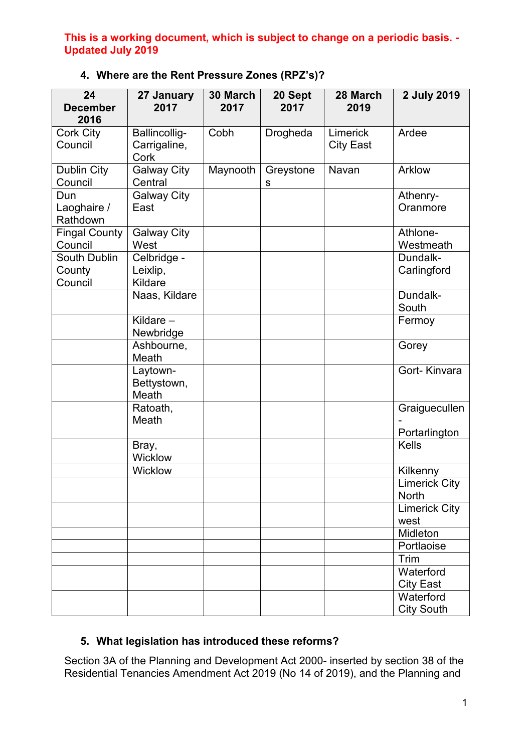| 24<br><b>December</b><br>2016     | 27 January<br>2017                    | 30 March<br>2017 | 20 Sept<br>2017 | 28 March<br>2019             | 2 July 2019                    |
|-----------------------------------|---------------------------------------|------------------|-----------------|------------------------------|--------------------------------|
| <b>Cork City</b><br>Council       | Ballincollig-<br>Carrigaline,<br>Cork | Cobh             | Drogheda        | Limerick<br><b>City East</b> | Ardee                          |
| <b>Dublin City</b><br>Council     | <b>Galway City</b><br>Central         | Maynooth         | Greystone<br>S  | Navan                        | Arklow                         |
| Dun<br>Laoghaire /<br>Rathdown    | <b>Galway City</b><br>East            |                  |                 |                              | Athenry-<br>Oranmore           |
| <b>Fingal County</b><br>Council   | <b>Galway City</b><br>West            |                  |                 |                              | Athlone-<br>Westmeath          |
| South Dublin<br>County<br>Council | Celbridge -<br>Leixlip,<br>Kildare    |                  |                 |                              | Dundalk-<br>Carlingford        |
|                                   | Naas, Kildare                         |                  |                 |                              | Dundalk-<br>South              |
|                                   | Kildare-<br>Newbridge                 |                  |                 |                              | Fermoy                         |
|                                   | Ashbourne,<br>Meath                   |                  |                 |                              | Gorey                          |
|                                   | Laytown-<br>Bettystown,<br>Meath      |                  |                 |                              | Gort-Kinvara                   |
|                                   | Ratoath,<br>Meath                     |                  |                 |                              | Graiguecullen<br>Portarlington |
|                                   | Bray,<br>Wicklow                      |                  |                 |                              | <b>Kells</b>                   |
|                                   | Wicklow                               |                  |                 |                              | Kilkenny                       |
|                                   |                                       |                  |                 |                              | <b>Limerick City</b><br>North  |
|                                   |                                       |                  |                 |                              | <b>Limerick City</b><br>west   |
|                                   |                                       |                  |                 |                              | Midleton                       |
|                                   |                                       |                  |                 |                              | Portlaoise                     |
|                                   |                                       |                  |                 |                              | Trim                           |
|                                   |                                       |                  |                 |                              | Waterford<br><b>City East</b>  |
|                                   |                                       |                  |                 |                              | Waterford<br><b>City South</b> |

# <span id="page-4-0"></span>**4. Where are the Rent Pressure Zones (RPZ's)?**

# <span id="page-4-1"></span>**5. What legislation has introduced these reforms?**

Section 3A of the Planning and Development Act 2000- inserted by section 38 of the Residential Tenancies Amendment Act 2019 (No 14 of 2019), and the Planning and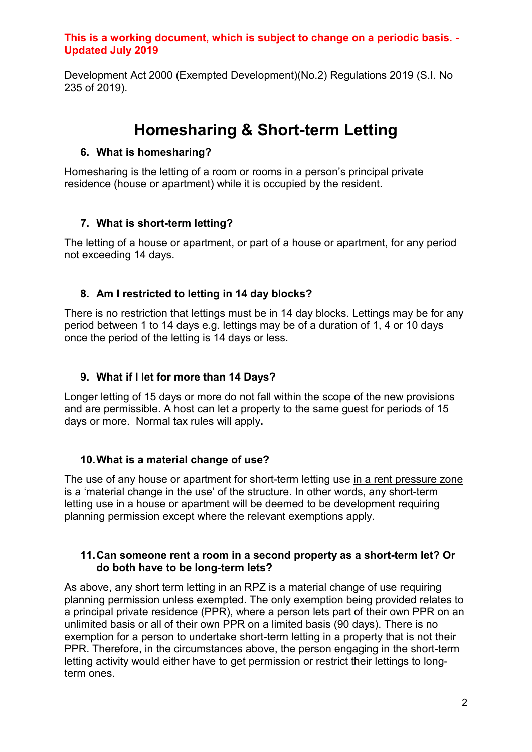Development Act 2000 (Exempted Development)(No.2) Regulations 2019 (S.I. No 235 of 2019).

# **Homesharing & Short-term Letting**

## <span id="page-5-1"></span><span id="page-5-0"></span>**6. What is homesharing?**

Homesharing is the letting of a room or rooms in a person's principal private residence (house or apartment) while it is occupied by the resident.

# <span id="page-5-2"></span>**7. What is short-term letting?**

The letting of a house or apartment, or part of a house or apartment, for any period not exceeding 14 days.

# <span id="page-5-3"></span>**8. Am I restricted to letting in 14 day blocks?**

There is no restriction that lettings must be in 14 day blocks. Lettings may be for any period between 1 to 14 days e.g. lettings may be of a duration of 1, 4 or 10 days once the period of the letting is 14 days or less.

# <span id="page-5-4"></span>**9. What if I let for more than 14 Days?**

Longer letting of 15 days or more do not fall within the scope of the new provisions and are permissible. A host can let a property to the same guest for periods of 15 days or more. Normal tax rules will apply**.**

# <span id="page-5-5"></span>**10.What is a material change of use?**

The use of any house or apartment for short-term letting use in a rent pressure zone is a 'material change in the use' of the structure. In other words, any short-term letting use in a house or apartment will be deemed to be development requiring planning permission except where the relevant exemptions apply.

#### <span id="page-5-6"></span>**11.Can someone rent a room in a second property as a short-term let? Or do both have to be long-term lets?**

As above, any short term letting in an RPZ is a material change of use requiring planning permission unless exempted. The only exemption being provided relates to a principal private residence (PPR), where a person lets part of their own PPR on an unlimited basis or all of their own PPR on a limited basis (90 days). There is no exemption for a person to undertake short-term letting in a property that is not their PPR. Therefore, in the circumstances above, the person engaging in the short-term letting activity would either have to get permission or restrict their lettings to longterm ones.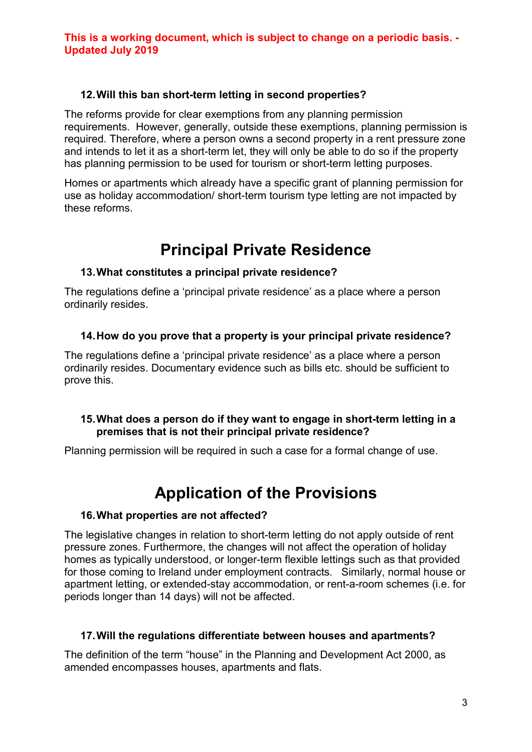## <span id="page-6-0"></span>**12.Will this ban short-term letting in second properties?**

The reforms provide for clear exemptions from any planning permission requirements. However, generally, outside these exemptions, planning permission is required. Therefore, where a person owns a second property in a rent pressure zone and intends to let it as a short-term let, they will only be able to do so if the property has planning permission to be used for tourism or short-term letting purposes.

Homes or apartments which already have a specific grant of planning permission for use as holiday accommodation/ short-term tourism type letting are not impacted by these reforms.

# **Principal Private Residence**

## <span id="page-6-2"></span><span id="page-6-1"></span>**13.What constitutes a principal private residence?**

The regulations define a 'principal private residence' as a place where a person ordinarily resides.

## <span id="page-6-3"></span>**14.How do you prove that a property is your principal private residence?**

The regulations define a 'principal private residence' as a place where a person ordinarily resides. Documentary evidence such as bills etc. should be sufficient to prove this.

## <span id="page-6-4"></span>**15.What does a person do if they want to engage in short-term letting in a premises that is not their principal private residence?**

Planning permission will be required in such a case for a formal change of use.

# **Application of the Provisions**

## <span id="page-6-6"></span><span id="page-6-5"></span>**16.What properties are not affected?**

The legislative changes in relation to short-term letting do not apply outside of rent pressure zones. Furthermore, the changes will not affect the operation of holiday homes as typically understood, or longer-term flexible lettings such as that provided for those coming to Ireland under employment contracts. Similarly, normal house or apartment letting, or extended-stay accommodation, or rent-a-room schemes (i.e. for periods longer than 14 days) will not be affected.

## <span id="page-6-7"></span>**17.Will the regulations differentiate between houses and apartments?**

The definition of the term "house" in the Planning and Development Act 2000, as amended encompasses houses, apartments and flats.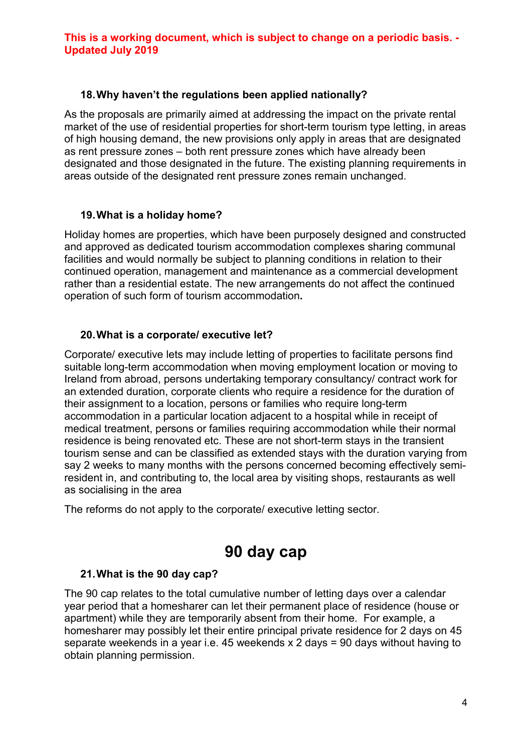#### <span id="page-7-0"></span>**18.Why haven't the regulations been applied nationally?**

As the proposals are primarily aimed at addressing the impact on the private rental market of the use of residential properties for short-term tourism type letting, in areas of high housing demand, the new provisions only apply in areas that are designated as rent pressure zones – both rent pressure zones which have already been designated and those designated in the future. The existing planning requirements in areas outside of the designated rent pressure zones remain unchanged.

## <span id="page-7-1"></span>**19.What is a holiday home?**

Holiday homes are properties, which have been purposely designed and constructed and approved as dedicated tourism accommodation complexes sharing communal facilities and would normally be subject to planning conditions in relation to their continued operation, management and maintenance as a commercial development rather than a residential estate. The new arrangements do not affect the continued operation of such form of tourism accommodation**.**

#### <span id="page-7-2"></span>**20.What is a corporate/ executive let?**

Corporate/ executive lets may include letting of properties to facilitate persons find suitable long-term accommodation when moving employment location or moving to Ireland from abroad, persons undertaking temporary consultancy/ contract work for an extended duration, corporate clients who require a residence for the duration of their assignment to a location, persons or families who require long-term accommodation in a particular location adjacent to a hospital while in receipt of medical treatment, persons or families requiring accommodation while their normal residence is being renovated etc. These are not short-term stays in the transient tourism sense and can be classified as extended stays with the duration varying from say 2 weeks to many months with the persons concerned becoming effectively semiresident in, and contributing to, the local area by visiting shops, restaurants as well as socialising in the area

The reforms do not apply to the corporate/ executive letting sector.

# **90 day cap**

#### <span id="page-7-4"></span><span id="page-7-3"></span>**21.What is the 90 day cap?**

The 90 cap relates to the total cumulative number of letting days over a calendar year period that a homesharer can let their permanent place of residence (house or apartment) while they are temporarily absent from their home. For example, a homesharer may possibly let their entire principal private residence for 2 days on 45 separate weekends in a year i.e. 45 weekends x 2 days = 90 days without having to obtain planning permission.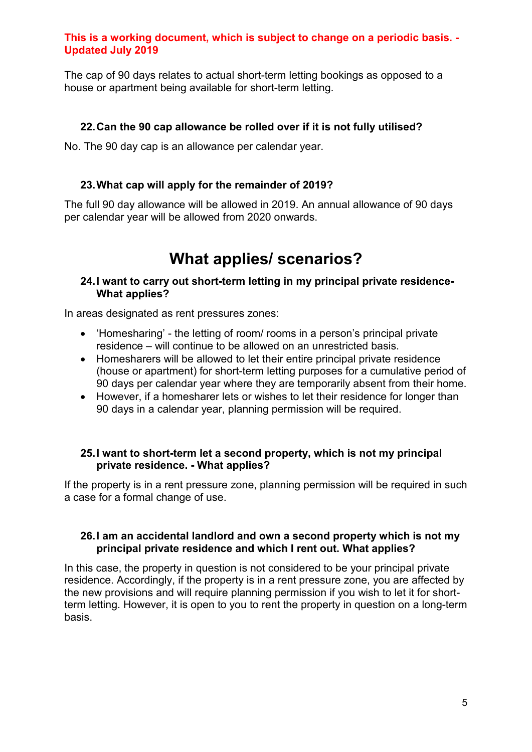The cap of 90 days relates to actual short-term letting bookings as opposed to a house or apartment being available for short-term letting.

## <span id="page-8-0"></span>**22.Can the 90 cap allowance be rolled over if it is not fully utilised?**

No. The 90 day cap is an allowance per calendar year.

## <span id="page-8-1"></span>**23.What cap will apply for the remainder of 2019?**

The full 90 day allowance will be allowed in 2019. An annual allowance of 90 days per calendar year will be allowed from 2020 onwards.

# **What applies/ scenarios?**

#### <span id="page-8-3"></span><span id="page-8-2"></span>**24.I want to carry out short-term letting in my principal private residence-What applies?**

In areas designated as rent pressures zones:

- 'Homesharing' the letting of room/ rooms in a person's principal private residence – will continue to be allowed on an unrestricted basis.
- Homesharers will be allowed to let their entire principal private residence (house or apartment) for short-term letting purposes for a cumulative period of 90 days per calendar year where they are temporarily absent from their home.
- However, if a homesharer lets or wishes to let their residence for longer than 90 days in a calendar year, planning permission will be required.

#### <span id="page-8-4"></span>**25.I want to short-term let a second property, which is not my principal private residence. - What applies?**

If the property is in a rent pressure zone, planning permission will be required in such a case for a formal change of use.

#### <span id="page-8-5"></span>**26.I am an accidental landlord and own a second property which is not my principal private residence and which I rent out. What applies?**

In this case, the property in question is not considered to be your principal private residence. Accordingly, if the property is in a rent pressure zone, you are affected by the new provisions and will require planning permission if you wish to let it for shortterm letting. However, it is open to you to rent the property in question on a long-term basis.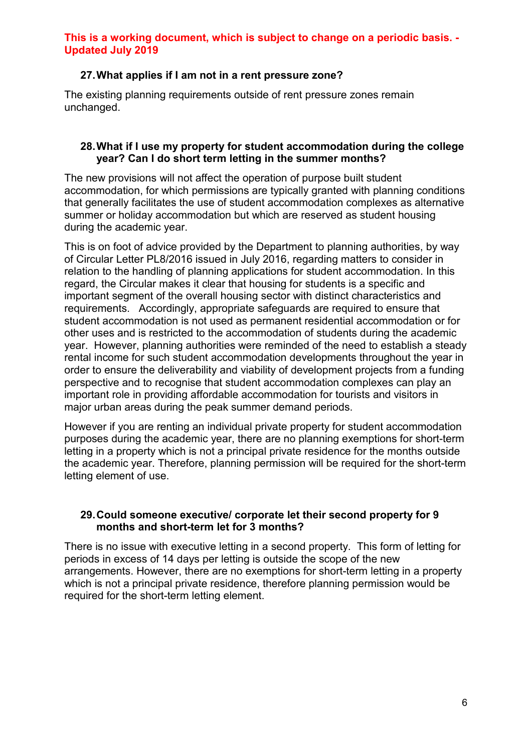#### <span id="page-9-0"></span>**27.What applies if I am not in a rent pressure zone?**

The existing planning requirements outside of rent pressure zones remain unchanged.

#### <span id="page-9-1"></span>**28.What if I use my property for student accommodation during the college year? Can I do short term letting in the summer months?**

The new provisions will not affect the operation of purpose built student accommodation, for which permissions are typically granted with planning conditions that generally facilitates the use of student accommodation complexes as alternative summer or holiday accommodation but which are reserved as student housing during the academic year.

This is on foot of advice provided by the Department to planning authorities, by way of Circular Letter PL8/2016 issued in July 2016, regarding matters to consider in relation to the handling of planning applications for student accommodation. In this regard, the Circular makes it clear that housing for students is a specific and important segment of the overall housing sector with distinct characteristics and requirements. Accordingly, appropriate safeguards are required to ensure that student accommodation is not used as permanent residential accommodation or for other uses and is restricted to the accommodation of students during the academic year. However, planning authorities were reminded of the need to establish a steady rental income for such student accommodation developments throughout the year in order to ensure the deliverability and viability of development projects from a funding perspective and to recognise that student accommodation complexes can play an important role in providing affordable accommodation for tourists and visitors in major urban areas during the peak summer demand periods.

However if you are renting an individual private property for student accommodation purposes during the academic year, there are no planning exemptions for short-term letting in a property which is not a principal private residence for the months outside the academic year. Therefore, planning permission will be required for the short-term letting element of use.

#### <span id="page-9-2"></span>**29.Could someone executive/ corporate let their second property for 9 months and short-term let for 3 months?**

There is no issue with executive letting in a second property. This form of letting for periods in excess of 14 days per letting is outside the scope of the new arrangements. However, there are no exemptions for short-term letting in a property which is not a principal private residence, therefore planning permission would be required for the short-term letting element.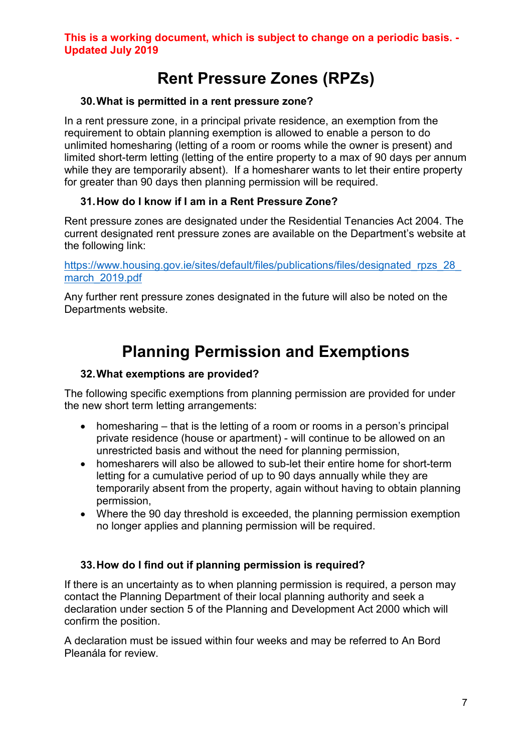# **Rent Pressure Zones (RPZs)**

## <span id="page-10-1"></span><span id="page-10-0"></span>**30.What is permitted in a rent pressure zone?**

In a rent pressure zone, in a principal private residence, an exemption from the requirement to obtain planning exemption is allowed to enable a person to do unlimited homesharing (letting of a room or rooms while the owner is present) and limited short-term letting (letting of the entire property to a max of 90 days per annum while they are temporarily absent). If a homesharer wants to let their entire property for greater than 90 days then planning permission will be required.

# <span id="page-10-2"></span>**31.How do I know if I am in a Rent Pressure Zone?**

Rent pressure zones are designated under the Residential Tenancies Act 2004. The current designated rent pressure zones are available on the Department's website at the following link:

https://www.housing.gov.ie/sites/default/files/publications/files/designated\_rpzs\_28 [march\\_2019.pdf](https://www.housing.gov.ie/sites/default/files/publications/files/designated_rpzs_28_march_2019.pdf)

Any further rent pressure zones designated in the future will also be noted on the Departments website.

# **Planning Permission and Exemptions**

## <span id="page-10-4"></span><span id="page-10-3"></span>**32.What exemptions are provided?**

The following specific exemptions from planning permission are provided for under the new short term letting arrangements:

- homesharing that is the letting of a room or rooms in a person's principal private residence (house or apartment) - will continue to be allowed on an unrestricted basis and without the need for planning permission,
- homesharers will also be allowed to sub-let their entire home for short-term letting for a cumulative period of up to 90 days annually while they are temporarily absent from the property, again without having to obtain planning permission,
- Where the 90 day threshold is exceeded, the planning permission exemption no longer applies and planning permission will be required.

## <span id="page-10-5"></span>**33.How do I find out if planning permission is required?**

If there is an uncertainty as to when planning permission is required, a person may contact the Planning Department of their local planning authority and seek a declaration under section 5 of the Planning and Development Act 2000 which will confirm the position.

A declaration must be issued within four weeks and may be referred to An Bord Pleanála for review.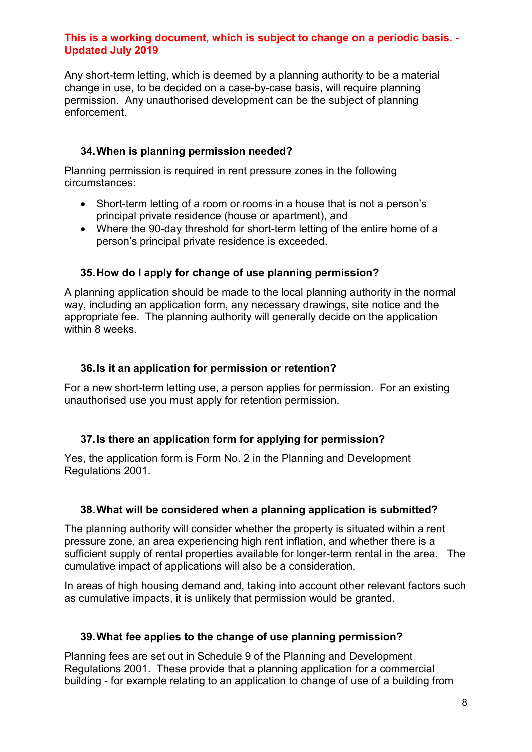Any short-term letting, which is deemed by a planning authority to be a material change in use, to be decided on a case-by-case basis, will require planning permission. Any unauthorised development can be the subject of planning enforcement.

## <span id="page-11-0"></span>**34.When is planning permission needed?**

Planning permission is required in rent pressure zones in the following circumstances:

- Short-term letting of a room or rooms in a house that is not a person's principal private residence (house or apartment), and
- Where the 90-day threshold for short-term letting of the entire home of a person's principal private residence is exceeded.

## <span id="page-11-1"></span>**35.How do I apply for change of use planning permission?**

A planning application should be made to the local planning authority in the normal way, including an application form, any necessary drawings, site notice and the appropriate fee. The planning authority will generally decide on the application within 8 weeks.

#### <span id="page-11-2"></span>**36.Is it an application for permission or retention?**

For a new short-term letting use, a person applies for permission. For an existing unauthorised use you must apply for retention permission.

## <span id="page-11-3"></span>**37.Is there an application form for applying for permission?**

Yes, the application form is Form No. 2 in the Planning and Development Regulations 2001.

## <span id="page-11-4"></span>**38.What will be considered when a planning application is submitted?**

The planning authority will consider whether the property is situated within a rent pressure zone, an area experiencing high rent inflation, and whether there is a sufficient supply of rental properties available for longer-term rental in the area. The cumulative impact of applications will also be a consideration.

In areas of high housing demand and, taking into account other relevant factors such as cumulative impacts, it is unlikely that permission would be granted.

## <span id="page-11-5"></span>**39.What fee applies to the change of use planning permission?**

Planning fees are set out in Schedule 9 of the Planning and Development Regulations 2001. These provide that a planning application for a commercial building - for example relating to an application to change of use of a building from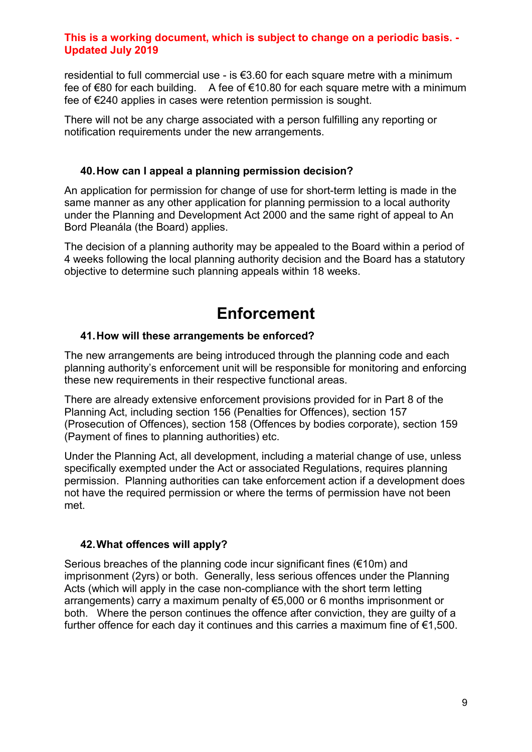residential to full commercial use - is €3.60 for each square metre with a minimum fee of €80 for each building. A fee of €10.80 for each square metre with a minimum fee of €240 applies in cases were retention permission is sought.

There will not be any charge associated with a person fulfilling any reporting or notification requirements under the new arrangements.

#### <span id="page-12-0"></span>**40.How can I appeal a planning permission decision?**

An application for permission for change of use for short-term letting is made in the same manner as any other application for planning permission to a local authority under the Planning and Development Act 2000 and the same right of appeal to An Bord Pleanála (the Board) applies.

The decision of a planning authority may be appealed to the Board within a period of 4 weeks following the local planning authority decision and the Board has a statutory objective to determine such planning appeals within 18 weeks.

# **Enforcement**

## <span id="page-12-2"></span><span id="page-12-1"></span>**41.How will these arrangements be enforced?**

The new arrangements are being introduced through the planning code and each planning authority's enforcement unit will be responsible for monitoring and enforcing these new requirements in their respective functional areas.

There are already extensive enforcement provisions provided for in Part 8 of the Planning Act, including section 156 (Penalties for Offences), section 157 (Prosecution of Offences), section 158 (Offences by bodies corporate), section 159 (Payment of fines to planning authorities) etc.

Under the Planning Act, all development, including a material change of use, unless specifically exempted under the Act or associated Regulations, requires planning permission. Planning authorities can take enforcement action if a development does not have the required permission or where the terms of permission have not been met.

## <span id="page-12-3"></span>**42.What offences will apply?**

Serious breaches of the planning code incur significant fines (€10m) and imprisonment (2yrs) or both. Generally, less serious offences under the Planning Acts (which will apply in the case non-compliance with the short term letting arrangements) carry a maximum penalty of €5,000 or 6 months imprisonment or both. Where the person continues the offence after conviction, they are guilty of a further offence for each day it continues and this carries a maximum fine of  $\epsilon$ 1,500.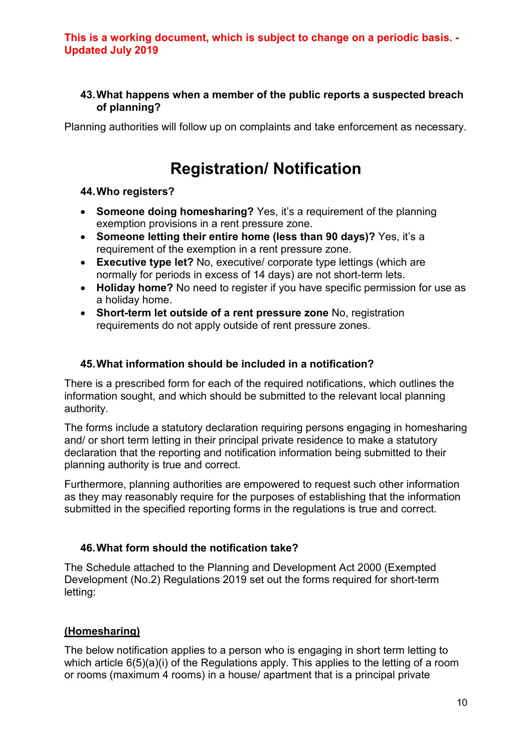#### <span id="page-13-0"></span>**43.What happens when a member of the public reports a suspected breach of planning?**

Planning authorities will follow up on complaints and take enforcement as necessary.

# **Registration/ Notification**

## <span id="page-13-2"></span><span id="page-13-1"></span>**44.Who registers?**

- **Someone doing homesharing?** Yes, it's a requirement of the planning exemption provisions in a rent pressure zone.
- **Someone letting their entire home (less than 90 days)?** Yes, it's a requirement of the exemption in a rent pressure zone.
- **Executive type let?** No, executive/ corporate type lettings (which are normally for periods in excess of 14 days) are not short-term lets.
- **Holiday home?** No need to register if you have specific permission for use as a holiday home.
- **Short-term let outside of a rent pressure zone** No, registration requirements do not apply outside of rent pressure zones.

## <span id="page-13-3"></span>**45.What information should be included in a notification?**

There is a prescribed form for each of the required notifications, which outlines the information sought, and which should be submitted to the relevant local planning authority.

The forms include a statutory declaration requiring persons engaging in homesharing and/ or short term letting in their principal private residence to make a statutory declaration that the reporting and notification information being submitted to their planning authority is true and correct.

Furthermore, planning authorities are empowered to request such other information as they may reasonably require for the purposes of establishing that the information submitted in the specified reporting forms in the regulations is true and correct.

## <span id="page-13-4"></span>**46.What form should the notification take?**

The Schedule attached to the Planning and Development Act 2000 (Exempted Development (No.2) Regulations 2019 set out the forms required for short-term letting:

# **(Homesharing)**

The below notification applies to a person who is engaging in short term letting to which article 6(5)(a)(i) of the Regulations apply. This applies to the letting of a room or rooms (maximum 4 rooms) in a house/ apartment that is a principal private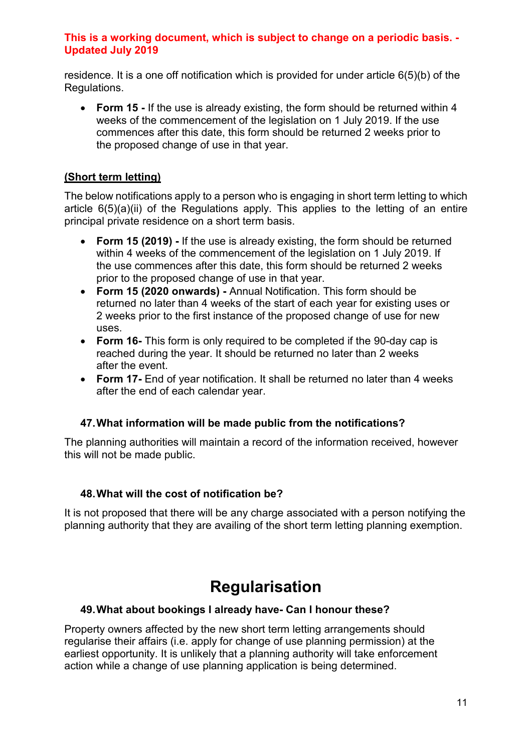residence. It is a one off notification which is provided for under article 6(5)(b) of the Regulations.

• **Form 15 -** If the use is already existing, the form should be returned within 4 weeks of the commencement of the legislation on 1 July 2019. If the use commences after this date, this form should be returned 2 weeks prior to the proposed change of use in that year.

## **(Short term letting)**

The below notifications apply to a person who is engaging in short term letting to which article 6(5)(a)(ii) of the Regulations apply. This applies to the letting of an entire principal private residence on a short term basis.

- **Form 15 (2019) -** If the use is already existing, the form should be returned within 4 weeks of the commencement of the legislation on 1 July 2019. If the use commences after this date, this form should be returned 2 weeks prior to the proposed change of use in that year.
- **Form 15 (2020 onwards) -** Annual Notification. This form should be returned no later than 4 weeks of the start of each year for existing uses or 2 weeks prior to the first instance of the proposed change of use for new uses.
- **Form 16-** This form is only required to be completed if the 90-day cap is reached during the year. It should be returned no later than 2 weeks after the event.
- **Form 17-** End of year notification. It shall be returned no later than 4 weeks after the end of each calendar year.

## <span id="page-14-0"></span>**47.What information will be made public from the notifications?**

The planning authorities will maintain a record of the information received, however this will not be made public.

## <span id="page-14-1"></span>**48.What will the cost of notification be?**

It is not proposed that there will be any charge associated with a person notifying the planning authority that they are availing of the short term letting planning exemption.

# **Regularisation**

## <span id="page-14-3"></span><span id="page-14-2"></span>**49.What about bookings I already have- Can I honour these?**

Property owners affected by the new short term letting arrangements should regularise their affairs (i.e. apply for change of use planning permission) at the earliest opportunity. It is unlikely that a planning authority will take enforcement action while a change of use planning application is being determined.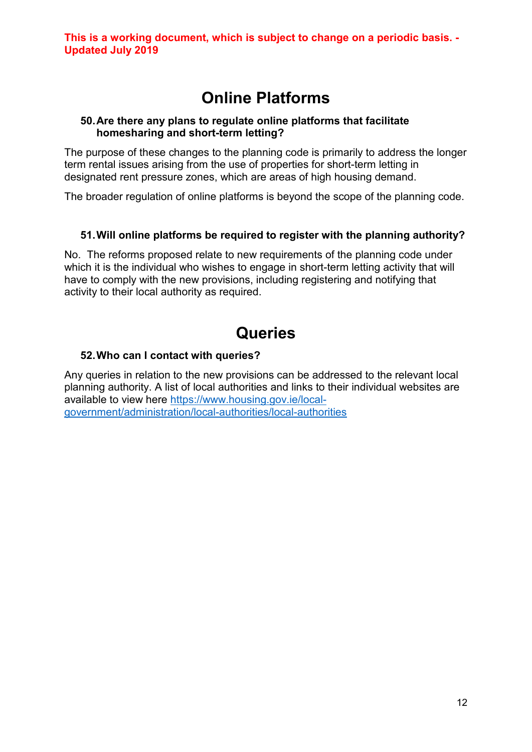# **Online Platforms**

#### <span id="page-15-1"></span><span id="page-15-0"></span>**50.Are there any plans to regulate online platforms that facilitate homesharing and short-term letting?**

The purpose of these changes to the planning code is primarily to address the longer term rental issues arising from the use of properties for short-term letting in designated rent pressure zones, which are areas of high housing demand.

The broader regulation of online platforms is beyond the scope of the planning code.

## <span id="page-15-2"></span>**51.Will online platforms be required to register with the planning authority?**

No. The reforms proposed relate to new requirements of the planning code under which it is the individual who wishes to engage in short-term letting activity that will have to comply with the new provisions, including registering and notifying that activity to their local authority as required.

# **Queries**

## <span id="page-15-4"></span><span id="page-15-3"></span>**52.Who can I contact with queries?**

Any queries in relation to the new provisions can be addressed to the relevant local planning authority. A list of local authorities and links to their individual websites are available to view here [https://www.housing.gov.ie/local](https://www.housing.gov.ie/local-government/administration/local-authorities/local-authorities)[government/administration/local-authorities/local-authorities](https://www.housing.gov.ie/local-government/administration/local-authorities/local-authorities)